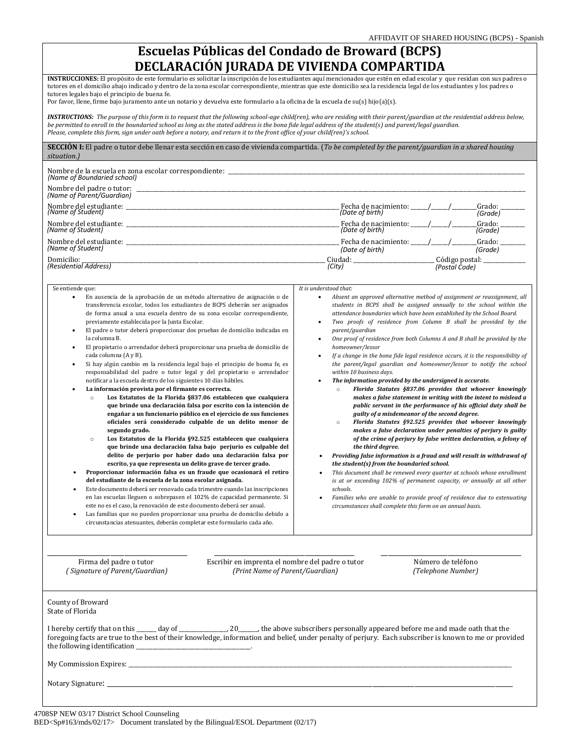## **Escuelas Públicas del Condado de Broward (BCPS) DECLARACIÓN JURADA DE VIVIENDA COMPARTIDA**

**INSTRUCCIONES:** El propósito de este formulario es solicitar la inscripción de los estudiantes aquí mencionados que estén en edad escolar y que residan con sus padres o tutores en el domicilio abajo indicado y dentro de la zona escolar correspondiente, mientras que este domicilio sea la residencia legal de los estudiantes y los padres o tutores legales bajo el principio de buena fe.

Por favor, llene, firme bajo juramento ante un notario y devuelva este formulario a la oficina de la escuela de su(s) hijo(a)(s).

*INSTRUCTIONS: The purpose of this form is to request that the following school-age child(ren), who are residing with their parent/guardian at the residential address below, be permitted to enroll in the boundaried school as long as the stated address is the bona fide legal address of the student(s) and parent/legal guardian. Please, complete this form, sign under oath before a notary, and return it to the front office of your child(ren)'s school.*

**SECCIÓN I:** El padre o tutor debe llenar esta sección en caso de vivienda compartida. (*To be completed by the parent/guardian in a shared housing situation.)*

| Nombre de la escuela en zona escolar correspondiente:<br>(Name of Boundaried school) |                                         |                    |                   |
|--------------------------------------------------------------------------------------|-----------------------------------------|--------------------|-------------------|
| Nombre del padre o tutor:<br>(Name of Parent/Guardian)                               |                                         |                    |                   |
| Nombre del estudiante:<br>(Name of Student)                                          | Fecha de nacimiento:<br>(Date of birth) |                    | Grado:<br>(Grade) |
| Nombre del estudiante:                                                               | Fecha de nacimiento:                    |                    | Grado:            |
| (Name of Student)                                                                    | (Date of birth)                         |                    | (Grade)           |
| Nombre del estudiante:                                                               | Fecha de nacimiento:                    |                    | Grado:            |
| (Name of Student)                                                                    | (Date of birth)                         |                    | (Grade)           |
| Domicilio:                                                                           | Ciudad:                                 | Código postal: ___ |                   |
| (Residential Address)                                                                | (City)                                  | (Postal Code)      |                   |

| Se entiende que:                                                                                                                                                                                                                                                                                                                                                                                                                                                                                                                                                                                                                                                                                                                                                                                                                                                                                                                                                                                                                                                                                                                                                                                                                                                                                                                                                                                                                                                                                                                                                                                                                                                                                                                                                                                                                                                                                                       | It is understood that:                                                                                                                                                                                                                                                                                                                                                                                                                                                                                                                                                                                                                                                                                                                                                                                                                                                                                                                                                                                                                                                                                                                                                                                                                                                                                                                                                                                                                                                                                                                                                                                                               |
|------------------------------------------------------------------------------------------------------------------------------------------------------------------------------------------------------------------------------------------------------------------------------------------------------------------------------------------------------------------------------------------------------------------------------------------------------------------------------------------------------------------------------------------------------------------------------------------------------------------------------------------------------------------------------------------------------------------------------------------------------------------------------------------------------------------------------------------------------------------------------------------------------------------------------------------------------------------------------------------------------------------------------------------------------------------------------------------------------------------------------------------------------------------------------------------------------------------------------------------------------------------------------------------------------------------------------------------------------------------------------------------------------------------------------------------------------------------------------------------------------------------------------------------------------------------------------------------------------------------------------------------------------------------------------------------------------------------------------------------------------------------------------------------------------------------------------------------------------------------------------------------------------------------------|--------------------------------------------------------------------------------------------------------------------------------------------------------------------------------------------------------------------------------------------------------------------------------------------------------------------------------------------------------------------------------------------------------------------------------------------------------------------------------------------------------------------------------------------------------------------------------------------------------------------------------------------------------------------------------------------------------------------------------------------------------------------------------------------------------------------------------------------------------------------------------------------------------------------------------------------------------------------------------------------------------------------------------------------------------------------------------------------------------------------------------------------------------------------------------------------------------------------------------------------------------------------------------------------------------------------------------------------------------------------------------------------------------------------------------------------------------------------------------------------------------------------------------------------------------------------------------------------------------------------------------------|
| En ausencia de la aprobación de un método alternativo de asignación o de<br>$\bullet$<br>transferencia escolar, todos los estudiantes de BCPS deberán ser asignados<br>de forma anual a una escuela dentro de su zona escolar correspondiente,<br>previamente establecida por la Junta Escolar.<br>El padre o tutor deberá proporcionar dos pruebas de domicilio indicadas en<br>$\bullet$<br>la columna B.<br>El propietario o arrendador deberá proporcionar una prueba de domicilio de<br>cada columna (A y B).<br>Si hay algún cambio en la residencia legal bajo el principio de buena fe, es<br>responsabilidad del padre o tutor legal y del propietario o arrendador<br>notificar a la escuela dentro de los siguientes 10 días hábiles.<br>La información provista por el firmante es correcta.<br>Los Estatutos de la Florida §837.06 establecen que cualquiera<br>$\circ$<br>que brinde una declaración falsa por escrito con la intención de<br>engañar a un funcionario público en el ejercicio de sus funciones<br>oficiales será considerado culpable de un delito menor de<br>segundo grado.<br>Los Estatutos de la Florida §92.525 establecen que cualquiera<br>$\circ$<br>que brinde una declaración falsa bajo perjurio es culpable del<br>delito de perjurio por haber dado una declaración falsa por<br>escrito, ya que representa un delito grave de tercer grado.<br>Proporcionar información falsa es un fraude que ocasionará el retiro<br>del estudiante de la escuela de la zona escolar asignada.<br>Este documento deberá ser renovado cada trimestre cuando las inscripciones<br>en las escuelas lleguen o sobrepasen el 102% de capacidad permanente. Si<br>este no es el caso, la renovación de este documento deberá ser anual.<br>Las familias que no pueden proporcionar una prueba de domicilio debido a<br>circunstancias atenuantes, deberán completar este formulario cada año. | Absent an approved alternative method of assignment or reassignment, all<br>students in BCPS shall be assigned annually to the school within the<br>attendance boundaries which have been established by the School Board.<br>Two proofs of residence from Column B shall be provided by the<br>$\bullet$<br>parent/guardian<br>One proof of residence from both Columns A and B shall be provided by the<br>homeowner/lessor<br>If a change in the bona fide legal residence occurs, it is the responsibility of<br>the parent/legal guardian and homeowner/lessor to notify the school<br>within 10 business days.<br>The information provided by the undersigned is accurate.<br>Florida Statutes §837.06 provides that whoever knowingly<br>$\circ$<br>makes a false statement in writing with the intent to mislead a<br>public servant in the performance of his official duty shall be<br>guilty of a misdemeanor of the second degree.<br>Florida Statutes §92.525 provides that whoever knowingly<br>$\circ$<br>makes a false declaration under penalties of perjury is guilty<br>of the crime of perjury by false written declaration, a felony of<br>the third degree.<br>Providing false information is a fraud and will result in withdrawal of<br>the student(s) from the boundaried school.<br>This document shall be renewed every quarter at schools whose enrollment<br>is at or exceeding 102% of permanent capacity, or annually at all other<br>schools.<br>Families who are unable to provide proof of residence due to extenuating<br>$\bullet$<br>circumstances shall complete this form on an annual basis. |
| Escribir en imprenta el nombre del padre o tutor<br>Firma del padre o tutor<br>(Print Name of Parent/Guardian)<br>(Signature of Parent/Guardian)                                                                                                                                                                                                                                                                                                                                                                                                                                                                                                                                                                                                                                                                                                                                                                                                                                                                                                                                                                                                                                                                                                                                                                                                                                                                                                                                                                                                                                                                                                                                                                                                                                                                                                                                                                       | Número de teléfono<br>(Telephone Number)                                                                                                                                                                                                                                                                                                                                                                                                                                                                                                                                                                                                                                                                                                                                                                                                                                                                                                                                                                                                                                                                                                                                                                                                                                                                                                                                                                                                                                                                                                                                                                                             |
| County of Broward<br>State of Florida<br>foregoing facts are true to the best of their knowledge, information and belief, under penalty of perjury. Each subscriber is known to me or provided<br>My Commission Expires: No. 2014 19:30:00 PM 20:30:00 PM 20:30:00 PM 20:30:00 PM 20:30:00 PM 20:30:00 PM 20:30:00 PM 20:30:00 PM 20:30:00 PM 20:30:00 PM 20:30:00 PM 20:30:00 PM 20:30:00 PM 20:30:00 PM 20:30:00 PM 20:30:00 P                                                                                                                                                                                                                                                                                                                                                                                                                                                                                                                                                                                                                                                                                                                                                                                                                                                                                                                                                                                                                                                                                                                                                                                                                                                                                                                                                                                                                                                                                       |                                                                                                                                                                                                                                                                                                                                                                                                                                                                                                                                                                                                                                                                                                                                                                                                                                                                                                                                                                                                                                                                                                                                                                                                                                                                                                                                                                                                                                                                                                                                                                                                                                      |
| Notary Signature: Notary Signature: Notary Signature: Notary Signature: Notary Signature: Notary Signature: No                                                                                                                                                                                                                                                                                                                                                                                                                                                                                                                                                                                                                                                                                                                                                                                                                                                                                                                                                                                                                                                                                                                                                                                                                                                                                                                                                                                                                                                                                                                                                                                                                                                                                                                                                                                                         |                                                                                                                                                                                                                                                                                                                                                                                                                                                                                                                                                                                                                                                                                                                                                                                                                                                                                                                                                                                                                                                                                                                                                                                                                                                                                                                                                                                                                                                                                                                                                                                                                                      |